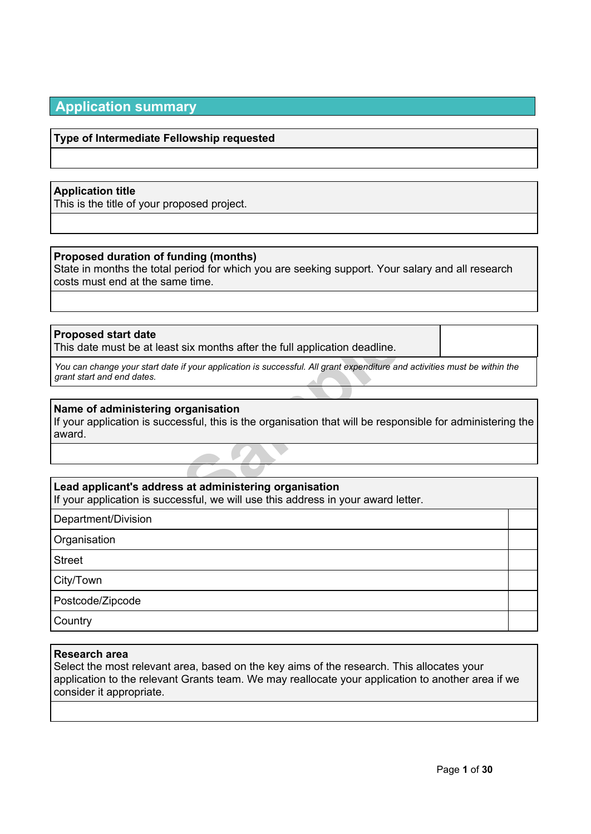# **Application summary**

#### **Type of Intermediate Fellowship requested**

#### **Application title**

This is the title of your proposed project.

#### **Proposed duration of funding (months)**

State in months the total period for which you are seeking support. Your salary and all research costs must end at the same time.

#### **Proposed start date**

This date must be at least six months after the full application deadline.

You can change your start date if your application is successful. All grant expenditure and activities must be within the *grant start and end dates.*

#### **Name of administering organisation**

six months after the full application deadline.<br> *If your application is successful. All grant expenditure and a*<br> **Proprimisation**<br>
Samples in the organisation that will be respons<br>
Samples and administering organisation<br> If your application is successful, this is the organisation that will be responsible for administering the award.

#### **Lead applicant's address at administering organisation**

If your application is successful, we will use this address in your award letter.

Department/Division

**Organisation** 

Street

City/Town

Postcode/Zipcode

**Country** 

#### **Research area**

Select the most relevant area, based on the key aims of the research. This allocates your application to the relevant Grants team. We may reallocate your application to another area if we consider it appropriate.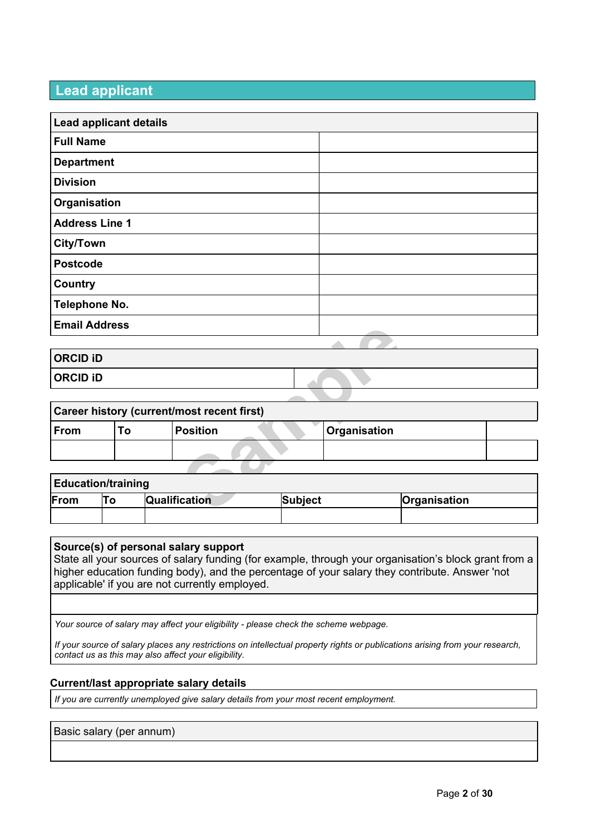# **Lead applicant**

| <b>Lead applicant details</b> |  |
|-------------------------------|--|
| <b>Full Name</b>              |  |
| <b>Department</b>             |  |
| <b>Division</b>               |  |
| Organisation                  |  |
| <b>Address Line 1</b>         |  |
| <b>City/Town</b>              |  |
| <b>Postcode</b>               |  |
| <b>Country</b>                |  |
| <b>Telephone No.</b>          |  |
| <b>Email Address</b>          |  |
|                               |  |

| <b>ORCID ID</b> |  |
|-----------------|--|
| <b>ORCID ID</b> |  |
|                 |  |

|                 | <b>Emall Address</b>      |                                            |                |              |              |  |
|-----------------|---------------------------|--------------------------------------------|----------------|--------------|--------------|--|
|                 |                           |                                            |                |              |              |  |
| <b>ORCID ID</b> |                           |                                            |                |              |              |  |
| <b>ORCID ID</b> |                           |                                            |                |              |              |  |
|                 |                           |                                            |                |              |              |  |
|                 |                           | Career history (current/most recent first) |                |              |              |  |
| From            | To                        | <b>Position</b>                            |                | Organisation |              |  |
|                 |                           |                                            |                |              |              |  |
|                 |                           |                                            |                |              |              |  |
|                 | <b>Education/training</b> |                                            |                |              |              |  |
| From            | To                        | <b>Qualification</b>                       | <b>Subject</b> |              | Organisation |  |
|                 |                           |                                            |                |              |              |  |

# **Education/training**

|      |                      | -- |         |              |
|------|----------------------|----|---------|--------------|
| From | <b>Qualification</b> |    | Subject | Organisation |
|      |                      |    |         |              |

#### **Source(s) of personal salary support**

State all your sources of salary funding (for example, through your organisation's block grant from a higher education funding body), and the percentage of your salary they contribute. Answer 'not applicable' if you are not currently employed.

*Your source of salary may affect your eligibility - please check the scheme webpage.*

If your source of salary places any restrictions on intellectual property rights or publications arising from your research, *contact us as this may also affect your eligibility.*

#### **Current/last appropriate salary details**

*If you are currently unemployed give salary details from your most recent employment.*

#### Basic salary (per annum)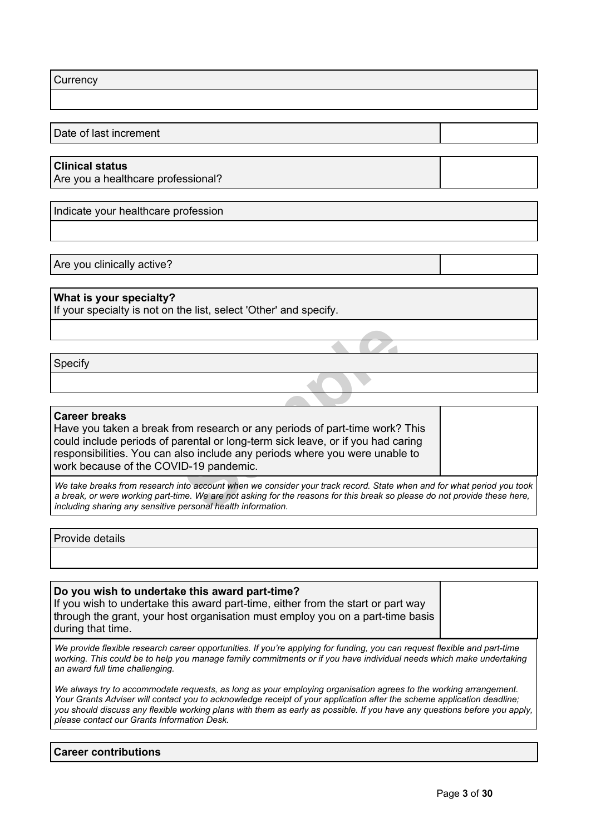**Currency** 

Date of last increment

#### **Clinical status**

Are you a healthcare professional?

Indicate your healthcare profession

Are you clinically active?

#### **What is your specialty?**

If your specialty is not on the list, select 'Other' and specify.

Specify

#### **Career breaks**

om research or any periods of part-time work?<br>
arental or long-term sick leave, or if you had ca<br>
Ilso include any periods where you were unable<br>
ID-19 pandemic.<br> *Into account when we consider your track record. State wit* Have you taken a break from research or any periods of part-time work? This could include periods of parental or long-term sick leave, or if you had caring responsibilities. You can also include any periods where you were unable to work because of the COVID-19 pandemic.

We take breaks from research into account when we consider your track record. State when and for what period you took a break, or were working part-time. We are not asking for the reasons for this break so please do not provide these here, *including sharing any sensitive personal health information.*

Provide details

#### **Do you wish to undertake this award part-time?**

If you wish to undertake this award part-time, either from the start or part way through the grant, your host organisation must employ you on a part-time basis during that time.

We provide flexible research career opportunities. If you're applying for funding, you can request flexible and part-time working. This could be to help you manage family commitments or if you have individual needs which make undertaking *an award full time challenging.*

We always try to accommodate requests, as long as your employing organisation agrees to the working arrangement. Your Grants Adviser will contact you to acknowledge receipt of your application after the scheme application deadline: you should discuss any flexible working plans with them as early as possible. If you have any questions before you apply, *please contact our Grants Information Desk.*

#### **Career contributions**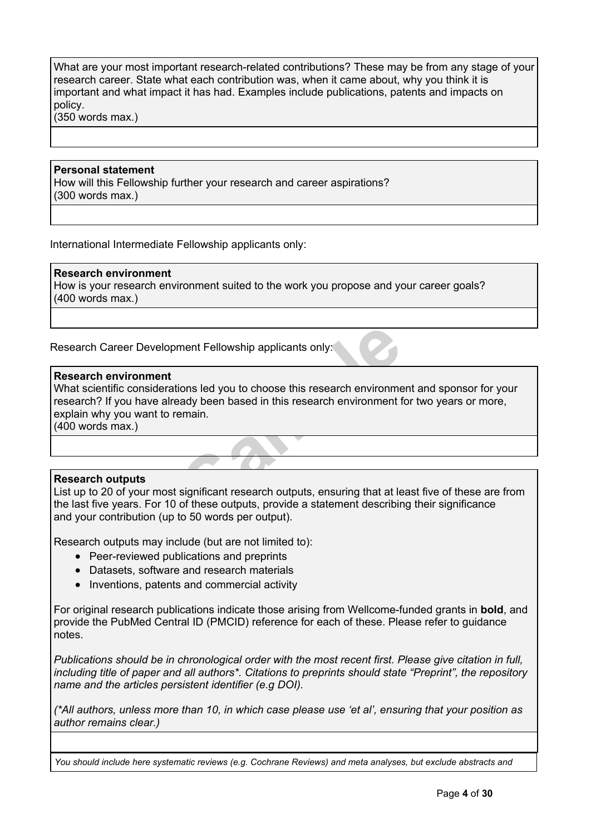What are your most important research-related contributions? These may be from any stage of your research career. State what each contribution was, when it came about, why you think it is important and what impact it has had. Examples include publications, patents and impacts on policy.

(350 words max.)

#### **Personal statement**

How will this Fellowship further your research and career aspirations? (300 words max.)

International Intermediate Fellowship applicants only:

#### **Research environment**

How is your research environment suited to the work you propose and your career goals? (400 words max.)

Research Career Development Fellowship applicants only:

#### **Research environment**

ment Fellowship applicants only:<br>
ons led you to choose this research environme<br>
ady been based in this research environment f<br>
Finalin.<br>
Significant research outputs, ensuring that at lex<br>
of these outputs, provide a stat What scientific considerations led you to choose this research environment and sponsor for your research? If you have already been based in this research environment for two years or more, explain why you want to remain. (400 words max.)

#### **Research outputs**

List up to 20 of your most significant research outputs, ensuring that at least five of these are from the last five years. For 10 of these outputs, provide a statement describing their significance and your contribution (up to 50 words per output).

Research outputs may include (but are not limited to):

- Peer-reviewed publications and preprints
- Datasets, software and research materials
- Inventions, patents and commercial activity

For original research publications indicate those arising from Wellcome-funded grants in **bold**, and provide the PubMed Central ID (PMCID) reference for each of these. Please refer to guidance notes.

*Publications should be in chronological order with the most recent first. Please give citation in full, including title of paper and all authors\*. Citations to preprints should state "Preprint", the repository name and the articles persistent identifier (e.g DOI).*

(\*All authors, unless more than 10, in which case please use 'et al', ensuring that your position as *author remains clear.)*

*You should include here systematic reviews (e.g. Cochrane Reviews) and meta analyses, but exclude abstracts and*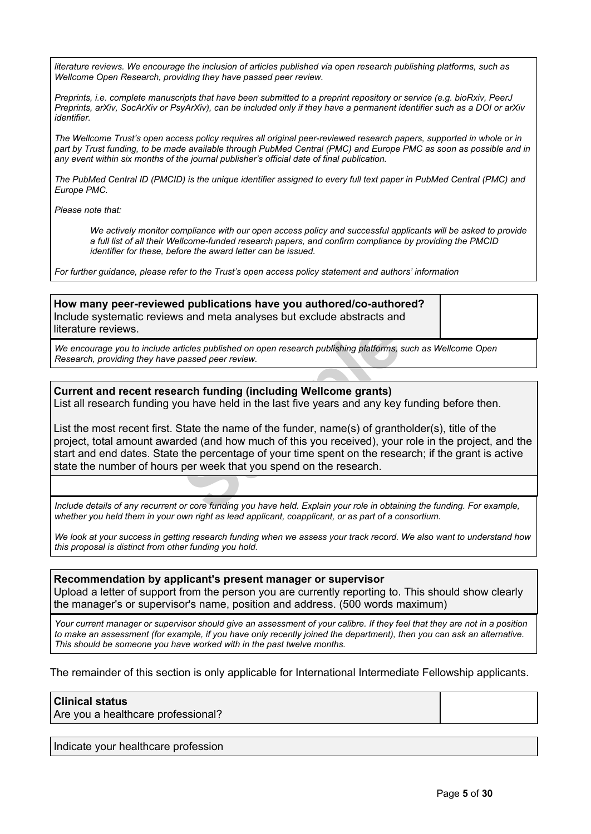literature reviews. We encourage the inclusion of articles published via open research publishing platforms, such as *Wellcome Open Research, providing they have passed peer review.*

Preprints, i.e. complete manuscripts that have been submitted to a preprint repository or service (e.g. bioRxiv, PeerJ Preprints, arXiv. SocArXiv or PsvArXiv), can be included only if they have a permanent identifier such as a DOI or arXiv *identifier.*

The Wellcome Trust's open access policy requires all original peer-reviewed research papers, supported in whole or in part by Trust funding, to be made available through PubMed Central (PMC) and Europe PMC as soon as possible and in *any event within six months of the journal publisher's official date of final publication.*

The PubMed Central ID (PMCID) is the unique identifier assigned to every full text paper in PubMed Central (PMC) and *Europe PMC.*

*Please note that:*

We actively monitor compliance with our open access policy and successful applicants will be asked to provide *a full list of all their Wellcome-funded research papers, and confirm compliance by providing the PMCID identifier for these, before the award letter can be issued.*

*For further guidance, please refer to the Trust's open access policy [statement](http://www.wellcome.org/funding/managing-grant/open-access-policy) and authors' [information](http://www.wellcome.org/funding/managing-grant/open-access-information-authors)*

**How many peer-reviewed publications have you authored/co-authored?** Include systematic reviews and meta analyses but exclude abstracts and literature reviews.

*We encourage you to include articles published on open research publishing platforms, such as Wellcome Open Research, providing they have passed peer review.*

#### **Current and recent research funding (including Wellcome grants)**

List all research funding you have held in the last five years and any key funding before then.

ricles published on open research publishing platforms, spassed peer review.<br> **Sample 11 All and Section** (including Wellcome grants)<br> **State the name of the funder, name(s) of granthern of the funder, name(s) of granthern** List the most recent first. State the name of the funder, name(s) of grantholder(s), title of the project, total amount awarded (and how much of this you received), your role in the project, and the start and end dates. State the percentage of your time spent on the research; if the grant is active state the number of hours per week that you spend on the research.

Include details of any recurrent or core funding you have held. Explain your role in obtaining the funding. For example, whether you held them in your own right as lead applicant, coapplicant, or as part of a consortium.

We look at your success in getting research funding when we assess your track record. We also want to understand how *this proposal is distinct from other funding you hold.*

#### **Recommendation by applicant's present manager or supervisor**

Upload a letter of support from the person you are currently reporting to. This should show clearly the manager's or supervisor's name, position and address. (500 words maximum)

Your current manager or supervisor should give an assessment of your calibre. If they feel that they are not in a position to make an assessment (for example, if you have only recently joined the department), then you can ask an alternative. *This should be someone you have worked with in the past twelve months.*

The remainder of this section is only applicable for International Intermediate Fellowship applicants.

#### **Clinical status**

Are you a healthcare professional?

Indicate your healthcare profession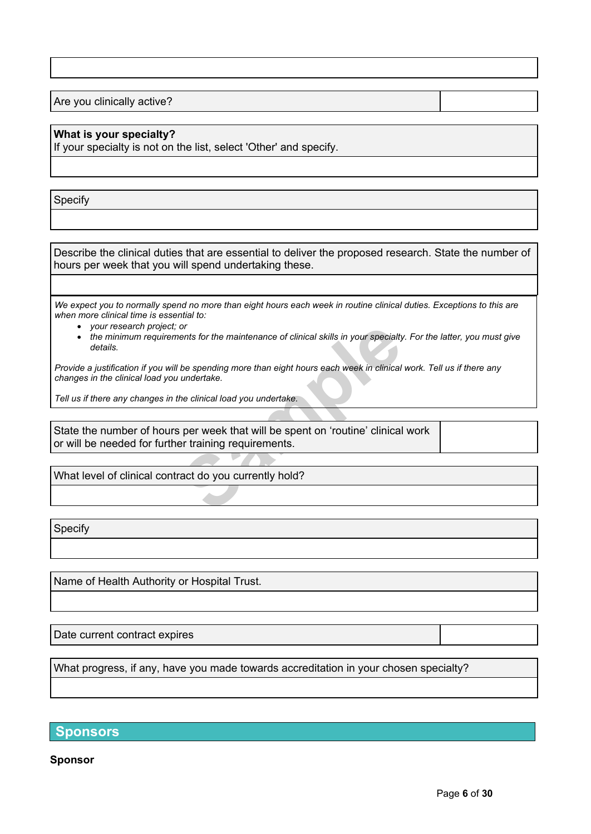Are you clinically active?

**What is your specialty?** If your specialty is not on the list, select 'Other' and specify.

Specify

Describe the clinical duties that are essential to deliver the proposed research. State the number of hours per week that you will spend undertaking these.

We expect you to normally spend no more than eight hours each week in routine clinical duties. Exceptions to this are *when more clinical time is essential to:*

- *your research project; or*
- the minimum requirements for the maintenance of clinical skills in your specialty. For the latter, you must give *details.*

Provide a justification if you will be spending more than eight hours each week in clinical work. Tell us if there any *changes in the clinical load you undertake.*

*Tell us if there any changes in the clinical load you undertake.*

or<br>
ents for the maintenance of clinical skills in your specialty<br>
be spending more than eight hours each week in clinical<br>
undertake.<br> **Sample 1990 in the clinical load you undertake.**<br> **Sample 1991 in the spent on 'routi** State the number of hours per week that will be spent on 'routine' clinical work or will be needed for further training requirements.

What level of clinical contract do you currently hold?

Specify

Name of Health Authority or Hospital Trust.

Date current contract expires

What progress, if any, have you made towards accreditation in your chosen specialty?

# **Sponsors**

**Sponsor**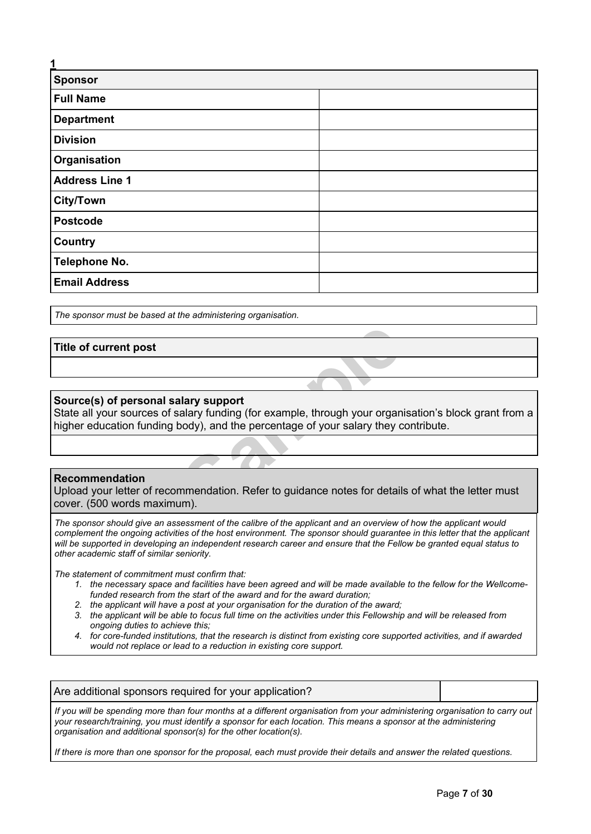| 1                     |  |
|-----------------------|--|
| <b>Sponsor</b>        |  |
| <b>Full Name</b>      |  |
| <b>Department</b>     |  |
| <b>Division</b>       |  |
| Organisation          |  |
| <b>Address Line 1</b> |  |
| <b>City/Town</b>      |  |
| <b>Postcode</b>       |  |
| Country               |  |
| <b>Telephone No.</b>  |  |
| <b>Email Address</b>  |  |

*The sponsor must be based at the administering organisation.*

#### **Title of current post**

#### **Source(s) of personal salary support**

**Example 18 Support**<br>
Salary funding (for example, through your organ<br>
body), and the percentage of your salary they controlled the percentage of your salary they controlled the members of the same members of the same memb State all your sources of salary funding (for example, through your organisation's block grant from a higher education funding body), and the percentage of your salary they contribute.

#### **Recommendation**

Upload your letter of recommendation. Refer to guidance notes for details of what the letter must cover. (500 words maximum).

The sponsor should give an assessment of the calibre of the applicant and an overview of how the applicant would complement the ongoing activities of the host environment. The sponsor should guarantee in this letter that the applicant will be supported in developing an independent research career and ensure that the Fellow be granted equal status to *other academic staff of similar seniority.*

*The statement of commitment must confirm that:*

- 1. the necessary space and facilities have been agreed and will be made available to the fellow for the Wellcome*funded research from the start of the award and for the award duration;*
- *2. the applicant will have a post at your organisation for the duration of the award;*
- 3. the applicant will be able to focus full time on the activities under this Fellowship and will be released from *ongoing duties to achieve this;*
- 4. for core-funded institutions, that the research is distinct from existing core supported activities, and if awarded *would not replace or lead to a reduction in existing core support.*

| Are additional sponsors required for your application? |  |
|--------------------------------------------------------|--|
|                                                        |  |

If you will be spending more than four months at a different organisation from your administering organisation to carry out your research/training, you must identify a sponsor for each location. This means a sponsor at the administering *organisation and additional sponsor(s) for the other location(s).*

If there is more than one sponsor for the proposal, each must provide their details and answer the related questions.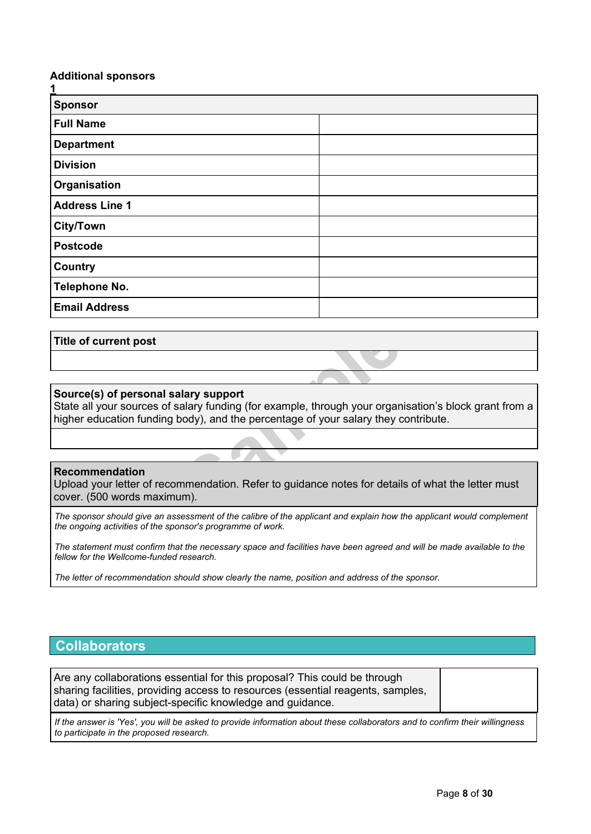#### **Additional sponsors**

| 1                     |  |
|-----------------------|--|
| <b>Sponsor</b>        |  |
| <b>Full Name</b>      |  |
| <b>Department</b>     |  |
| <b>Division</b>       |  |
| Organisation          |  |
| <b>Address Line 1</b> |  |
| <b>City/Town</b>      |  |
| <b>Postcode</b>       |  |
| <b>Country</b>        |  |
| <b>Telephone No.</b>  |  |
| <b>Email Address</b>  |  |

#### **Title of current post**

#### **Source(s) of personal salary support**

**Sampler School School School School School School School School School School School School School School School School School School School School School School School School School School School School School School Sch** State all your sources of salary funding (for example, through your organisation's block grant from a higher education funding body), and the percentage of your salary they contribute.

#### **Recommendation**

Upload your letter of recommendation. Refer to guidance notes for details of what the letter must cover. (500 words maximum).

The sponsor should give an assessment of the calibre of the applicant and explain how the applicant would complement *the ongoing activities of the sponsor's programme of work.*

The statement must confirm that the necessary space and facilities have been agreed and will be made available to the *fellow for the Wellcome-funded research.*

*The letter of recommendation should show clearly the name, position and address of the sponsor.*

# **Collaborators**

Are any collaborations essential for this proposal? This could be through sharing facilities, providing access to resources (essential reagents, samples, data) or sharing subject-specific knowledge and guidance.

If the answer is 'Yes', you will be asked to provide information about these collaborators and to confirm their willingness *to participate in the proposed research.*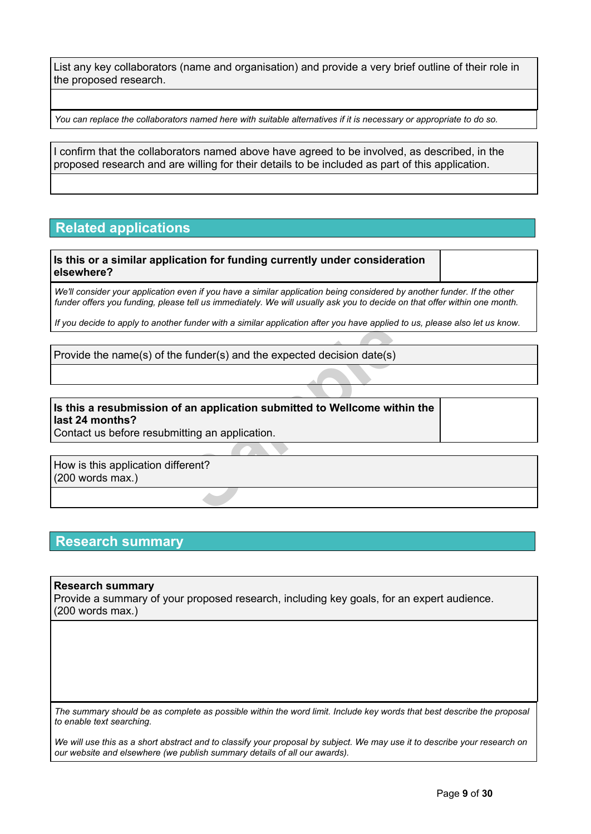List any key collaborators (name and organisation) and provide a very brief outline of their role in the proposed research.

You can replace the collaborators named here with suitable alternatives if it is necessary or appropriate to do so.

I confirm that the collaborators named above have agreed to be involved, as described, in the proposed research and are willing for their details to be included as part of this application.

# **Related applications**

**Is this or a similar application for funding currently under consideration elsewhere?**

We'll consider your application even if you have a similar application being considered by another funder. If the other funder offers you funding, please tell us immediately. We will usually ask you to decide on that offer within one month.

If you decide to apply to another funder with a similar application after you have applied to us, please also let us know.

Provide the name(s) of the funder(s) and the expected decision date(s)

# **Example 2** and the expected decision date(s)<br>**Sample 2** and the expected decision date(s)<br>**Sample 2** and the expected decision date(s)<br>**Sample 2** and the expected decision date(s)<br>**Sample 2** and the expected decision date **Is this a resubmission of an application submitted to Wellcome within the last 24 months?**

Contact us before resubmitting an application.

How is this application different? (200 words max.)

# **Research summary**

**Research summary**

Provide a summary of your proposed research, including key goals, for an expert audience. (200 words max.)

The summary should be as complete as possible within the word limit. Include key words that best describe the proposal *to enable text searching.*

We will use this as a short abstract and to classify your proposal by subject. We may use it to describe your research on *our website and elsewhere (we publish summary details of all our awards).*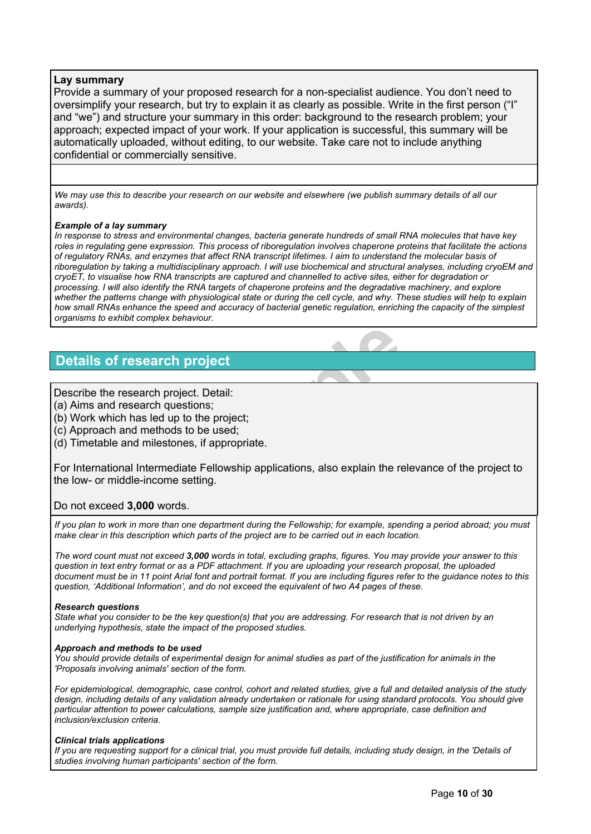#### **Lay summary**

Provide a summary of your proposed research for a non-specialist audience. You don't need to oversimplify your research, but try to explain it as clearly as possible. Write in the first person ("I" and "we") and structure your summary in this order: background to the research problem; your approach; expected impact of your work. If your application is successful, this summary will be automatically uploaded, without editing, to our website. Take care not to include anything confidential or commercially sensitive.

We may use this to describe your research on our website and elsewhere (we publish summary details of all our *awards).*

#### *Example of a lay summary*

In response to stress and environmental changes, bacteria generate hundreds of small RNA molecules that have key roles in regulating gene expression. This process of riboregulation involves chaperone proteins that facilitate the actions of requlatory RNAs, and enzymes that affect RNA transcript lifetimes. I aim to understand the molecular basis of riboregulation by taking a multidisciplinary approach. I will use biochemical and structural analyses, including cryoEM and cryoET, to visualise how RNA transcripts are captured and channelled to active sites, either for degradation or processing. I will also identify the RNA targets of chaperone proteins and the degradative machinery, and explore whether the patterns change with physiological state or during the cell cycle, and why. These studies will help to explain how small RNAs enhance the speed and accuracy of bacterial genetic regulation, enriching the capacity of the simplest *organisms to exhibit complex behaviour.*

# **Details of research project**

Describe the research project. Detail:

(a) Aims and research questions;

(b) Work which has led up to the project;

(c) Approach and methods to be used;

(d) Timetable and milestones, if appropriate.

**project**<br>
ject. Detail:<br>
setions;<br>
to the project;<br>
s to be used;<br>
nes, if appropriate.<br>
iate Fellowship applications, also explain the re<br>
setting.<br>
Is. For International Intermediate Fellowship applications, also explain the relevance of the project to the low- or middle-income setting.

#### Do not exceed **3,000** words.

If you plan to work in more than one department during the Fellowship; for example, spending a period abroad; you must *make clear in this description which parts of the project are to be carried out in each location.*

The word count must not exceed 3,000 words in total, excluding graphs, figures. You may provide your answer to this question in text entry format or as a PDF attachment. If you are uploading your research proposal, the uploaded document must be in 11 point Arial font and portrait format. If you are including figures refer to the guidance notes to this *question, 'Additional Information', and do not exceed the equivalent of two A4 pages of these.*

#### *Research questions*

State what you consider to be the key question(s) that you are addressing. For research that is not driven by an *underlying hypothesis, state the impact of the proposed studies.*

#### *Approach and methods to be used*

You should provide details of experimental design for animal studies as part of the justification for animals in the *'Proposals involving animals' section of the form.*

For epidemiological, demographic, case control, cohort and related studies, give a full and detailed analysis of the study design, including details of any validation already undertaken or rationale for using standard protocols. You should give *particular attention to power calculations, sample size justification and, where appropriate, case definition and inclusion/exclusion criteria.*

#### *Clinical trials applications*

If you are requesting support for a clinical trial, you must provide full details, including study design, in the 'Details of *studies involving human participants' section of the form.*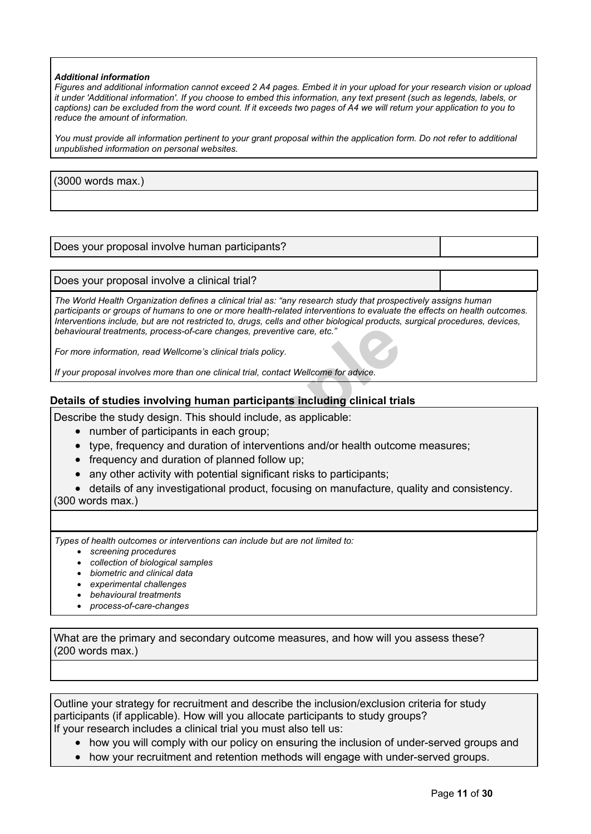#### *Additional information*

Figures and additional information cannot exceed 2 A4 pages. Embed it in your upload for your research vision or upload it under 'Additional information'. If you choose to embed this information, any text present (such as legends, labels, or captions) can be excluded from the word count. If it exceeds two pages of A4 we will return your application to you to *reduce the amount of information.*

You must provide all information pertinent to your grant proposal within the application form. Do not refer to additional *unpublished information on personal websites.*

#### (3000 words max.)

#### Does your proposal involve human participants?

Does your proposal involve a clinical trial?

*The World Health Organization defines a clinical trial as: "any research study that prospectively assigns human* participants or groups of humans to one or more health-related interventions to evaluate the effects on health outcomes. Interventions include, but are not restricted to, drugs, cells and other biological products, surgical procedures, devices, *behavioural treatments, process-of-care changes, preventive care, etc."*

*For more information, read Wellcome's clinical trials policy.*

*If your proposal involves more than one clinical trial, contact Wellcome for advice.*

#### **Details of studies involving human participants including clinical trials**

Describe the study design. This should include, as applicable:

- number of participants in each group;
- type, frequency and duration of interventions and/or health outcome measures;
- frequency and duration of planned follow up;
- any other activity with potential significant risks to participants;

Soletion Controller and the solection of products of care changes, preventive care, etc."<br> **Sample 15 Solect Controller and the solect Controller and the solect Controller Controller and Divideo Specifical Specifical Speci** details of any investigational product, focusing on manufacture, quality and consistency.

(300 words max.)

*Types of health outcomes or interventions can include but are not limited to:*

- *screening procedures*
- *collection of biological samples*
- *biometric and clinical data*
- *experimental challenges*
- *behavioural treatments*
- *process-of-care-changes*

What are the primary and secondary outcome measures, and how will you assess these? (200 words max.)

Outline your strategy for recruitment and describe the inclusion/exclusion criteria for study participants (if applicable). How will you allocate participants to study groups? If your research includes a [clinical](https://wellcome.org/grant-funding/guidance/clinical-trials-policy) trial you must also tell us:

- how you will comply with our policy on ensuring the inclusion of under-served groups and
- how your recruitment and retention methods will engage with under-served groups.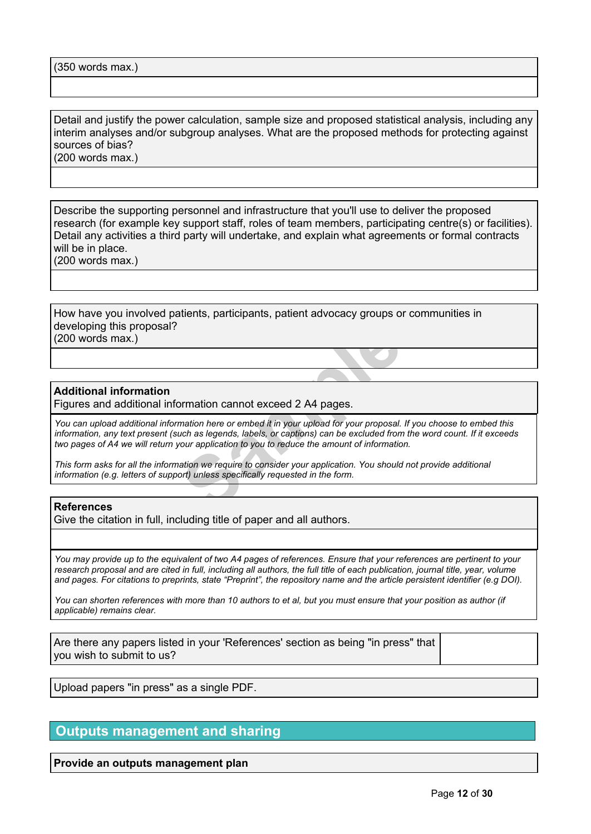(350 words max.)

Detail and justify the power calculation, sample size and proposed statistical analysis, including any interim analyses and/or subgroup analyses. What are the proposed methods for protecting against sources of bias?

(200 words max.)

Describe the supporting personnel and infrastructure that you'll use to deliver the proposed research (for example key support staff, roles of team members, participating centre(s) or facilities). Detail any activities a third party will undertake, and explain what agreements or formal contracts will be in place.

(200 words max.)

How have you involved patients, participants, patient advocacy groups or communities in developing this proposal? (200 words max.)

#### **Additional information**

Figures and additional information cannot exceed 2 A4 pages.

**Sample 19 The School Symbol School School School School School School School School As legends, labels, or captions) can be excluded from<br>Four application to you to reduce the amount of information<br>ation we require to con** You can upload additional information here or embed it in your upload for your proposal. If you choose to embed this information, any text present (such as legends, labels, or captions) can be excluded from the word count. If it exceeds *two pages of A4 we will return your application to you to reduce the amount of information.*

This form asks for all the information we require to consider your application. You should not provide additional *information (e.g. letters of support) unless specifically requested in the form.*

#### **References**

Give the citation in full, including title of paper and all authors.

You may provide up to the equivalent of two A4 pages of references. Ensure that your references are pertinent to your research proposal and are cited in full, including all authors, the full title of each publication, journal title, year, volume and pages. For citations to preprints, state "Preprint", the repository name and the article persistent identifier (e.g DOI).

You can shorten references with more than 10 authors to et al, but you must ensure that your position as author (if *applicable) remains clear.*

Are there any papers listed in your 'References' section as being "in press" that you wish to submit to us?

Upload papers "in press" as a single PDF.

# **Outputs management and sharing**

**Provide an outputs management plan**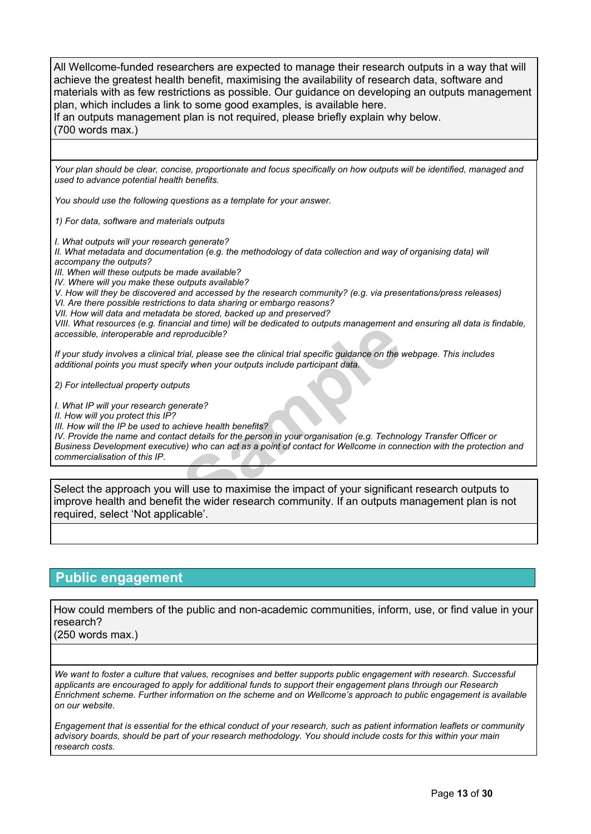All Wellcome-funded researchers are expected to manage their research outputs in a way that will achieve the greatest health benefit, maximising the availability of research data, software and materials with as few restrictions as possible. Our guidance on developing an outputs management plan, which includes a link to some good examples, is available [here.](https://wellcome.org/grant-funding/guidance/how-complete-outputs-management-plan) If an outputs management plan is not required, please briefly explain why below. (700 words max.)

Your plan should be clear, concise, proportionate and focus specifically on how outputs will be identified, managed and *used to advance potential health benefits.*

*You should use the following questions as a template for your answer.*

*1) For data, software and materials outputs*

*I. What outputs will your research generate?*

II. What metadata and documentation (e.g. the methodology of data collection and way of organising data) will *accompany the outputs?*

*III. When will these outputs be made available?*

*IV. Where will you make these outputs available?*

*V. How will they be discovered and accessed by the research community? (e.g. via presentations/press releases)*

*VI. Are there possible restrictions to data sharing or embargo reasons?*

*VII. How will data and metadata be stored, backed up and preserved?*

VIII. What resources (e.g. financial and time) will be dedicated to outputs management and ensuring all data is findable, *accessible, interoperable and reproducible?*

If your study involves a clinical trial, please see the clinical trial specific quidance on the webpage. This includes *additional points you must specify when your outputs include participant data.*

*2) For intellectual property outputs*

*I. What IP will your research generate?*

*II. How will you protect this IP?*

*III. How will the IP be used to achieve health benefits?*

Trial, please see the clinical trial specific guidance on the vertical, please see the clinical trial specific guidance on the vify when your outputs include participant data.<br>
Trial, please see the clinical trial specific IV. Provide the name and contact details for the person in your organisation (e.g. Technology Transfer Officer or Business Development executive) who can act as a point of contact for Wellcome in connection with the protection and *commercialisation of this IP.*

Select the approach you will use to maximise the impact of your significant research outputs to improve health and benefit the wider research community. If an outputs management plan is not required, select 'Not applicable'.

# **Public engagement**

How could members of the public and non-academic communities, inform, use, or find value in your research?

(250 words max.)

We want to foster a culture that values, recognises and better supports public engagement with research. Successful *applicants are encouraged to apply for additional funds to support their engagement plans through our [Research](https://wellcome.org/funding/research-enrichment-public-engagement)* [Enrichment](https://wellcome.org/funding/research-enrichment-public-engagement) scheme. Further information on the scheme and on Wellcome's approach to public [engagement](https://wellcome.org/what-we-do/our-work/public-engagement) is available *on our website.*

Engagement that is essential for the ethical conduct of your research, such as patient information leaflets or community advisory boards, should be part of your research methodology. You should include costs for this within your main *research costs.*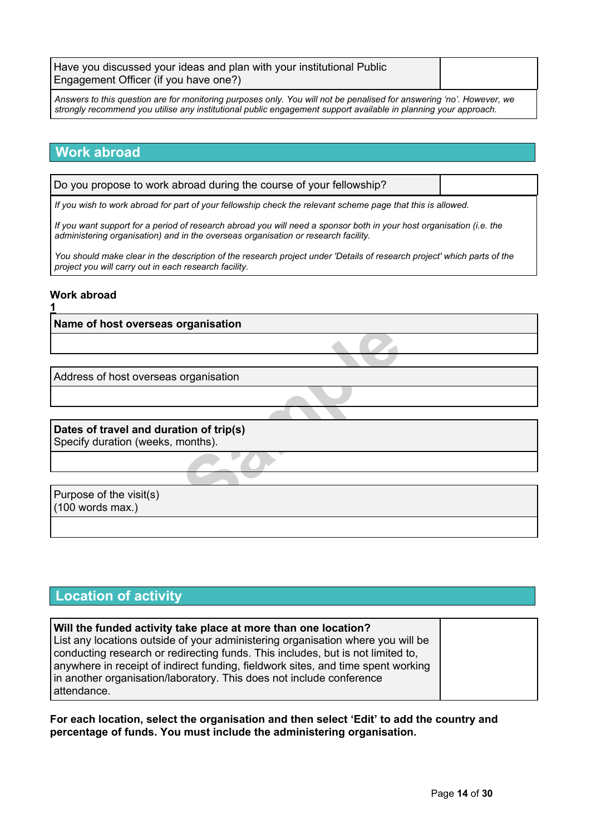|  |  | Have you discussed your ideas and plan with your institutional Public<br>Engagement Officer (if you have one?) |  |  |  |  |  |
|--|--|----------------------------------------------------------------------------------------------------------------|--|--|--|--|--|
|  |  |                                                                                                                |  |  |  |  |  |

Answers to this question are for monitoring purposes only. You will not be penalised for answering 'no'. However, we *strongly recommend you utilise any institutional public engagement support available in planning your approach.*

# **Work abroad**

Do you propose to work abroad during the course of your fellowship?

If you wish to work abroad for part of your fellowship check the relevant scheme page that this is allowed.

If you want support for a period of research abroad you will need a sponsor both in your host organisation (i.e. the *administering organisation) and in the overseas organisation or research facility.*

You should make clear in the description of the research project under 'Details of research project' which parts of the *project you will carry out in each research facility.*

# **Work abroad**

**1**

**Name of host overseas organisation**

Address of host overseas organisation

**Sample School Separation**<br> **Sample School Separation**<br> **Sample School School School School School School School School School School School School School School School School School School School School School School Scho Dates of travel and duration of trip(s)** Specify duration (weeks, months).

Purpose of the visit(s) (100 words max.)

# **Location of activity**

| Will the funded activity take place at more than one location?                   |  |
|----------------------------------------------------------------------------------|--|
| List any locations outside of your administering organisation where you will be  |  |
| conducting research or redirecting funds. This includes, but is not limited to,  |  |
| anywhere in receipt of indirect funding, fieldwork sites, and time spent working |  |
| in another organisation/laboratory. This does not include conference             |  |
| attendance.                                                                      |  |

**For each location, select the organisation and then select 'Edit' to add the country and percentage of funds. You must include the administering organisation.**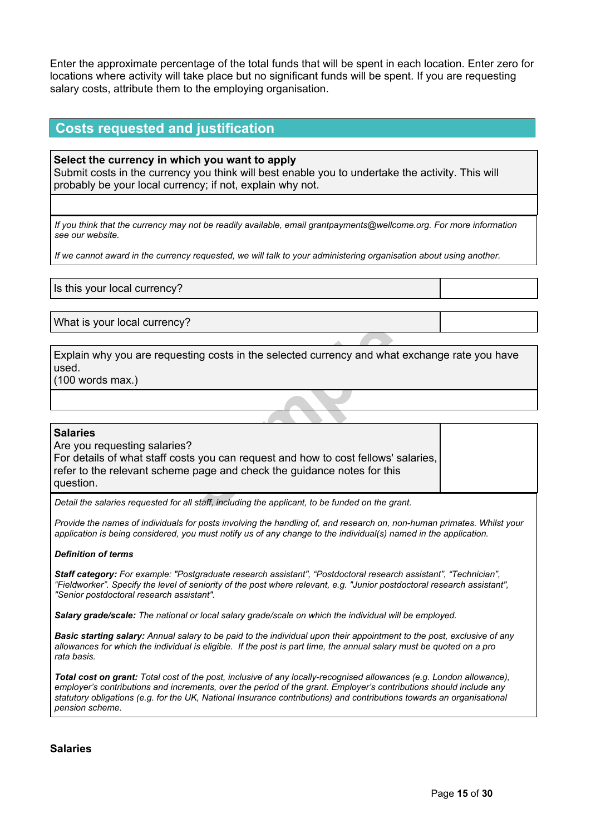Enter the approximate percentage of the total funds that will be spent in each location. Enter zero for locations where activity will take place but no significant funds will be spent. If you are requesting salary costs, attribute them to the employing organisation.

# **Costs requested and justification**

#### **Select the currency in which you want to apply**

Submit costs in the currency you think will best enable you to undertake the activity. This will probably be your local currency; if not, explain why not.

If you think that the currency may not be readily available, email grantpayments@wellcome.org. For more information *see our [website.](http://www.wellcome.org/funding/guidance/currency-issues)*

If we cannot award in the currency requested, we will talk to your administering organisation about using another.

Is this your local currency?

What is your local currency?

Explain why you are requesting costs in the selected currency and what exchange rate you have used.

(100 words max.)

#### **Salaries**

Are you requesting salaries?

**Sample 2013**<br>Samples of the selected currency and what is<br>set of the selected currency and what is<br>the page and check the guidance notes for this<br>set of this all staff, including the applicant, to be funded on the grant For details of what staff costs you can request and how to cost fellows' salaries, refer to the relevant scheme page and check the guidance notes for this question.

*Detail the salaries requested for all staff, including the applicant, to be funded on the grant.*

Provide the names of individuals for posts involving the handling of, and research on, non-human primates. Whilst your application is being considered, you must notify us of any change to the individual(s) named in the application.

#### *Definition of terms*

*Staff category: For example: "Postgraduate research assistant", "Postdoctoral research assistant", "Technician",* "Fieldworker". Specify the level of seniority of the post where relevant, e.g. "Junior postdoctoral research assistant", *"Senior postdoctoral research assistant".*

*Salary grade/scale: The national or local salary grade/scale on which the individual will be employed.*

Basic starting salary: Annual salary to be paid to the individual upon their appointment to the post, exclusive of any allowances for which the individual is eligible. If the post is part time, the annual salary must be quoted on a pro *rata basis.*

Total cost on grant: Total cost of the post, inclusive of any locally-recognised allowances (e.g. London allowance), *employer's contributions and increments, over the period of the grant. Employer's contributions should include any statutory obligations (e.g. for the UK, National Insurance contributions) and contributions towards an organisational pension scheme.*

#### **Salaries**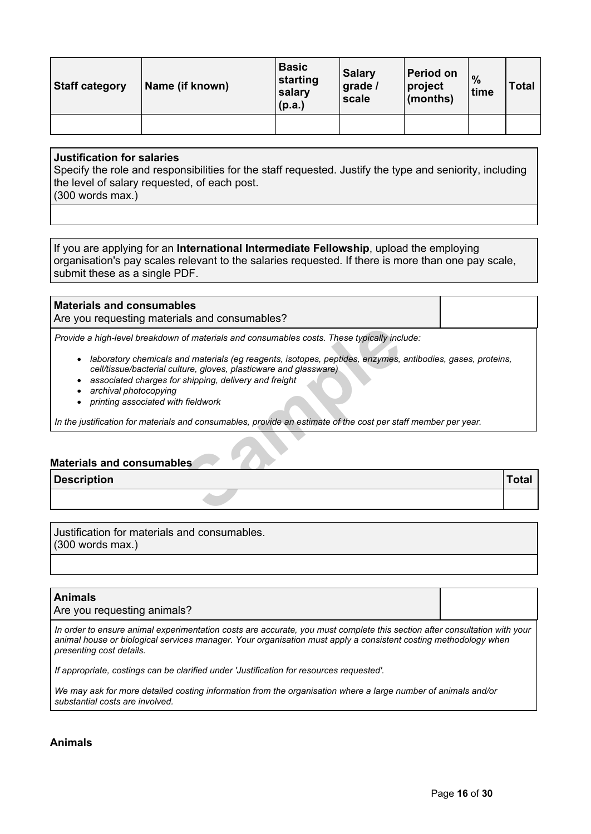| <b>Staff category</b> | Name (if known) | <b>Basic</b><br>starting<br> salary<br>(p.a.) | <b>Salary</b><br>grade /<br>scale | <b>Period on</b><br>project<br>(months) | $\frac{9}{6}$<br>time | Total |
|-----------------------|-----------------|-----------------------------------------------|-----------------------------------|-----------------------------------------|-----------------------|-------|
|                       |                 |                                               |                                   |                                         |                       |       |

#### **Justification for salaries**

Specify the role and responsibilities for the staff requested. Justify the type and seniority, including the level of salary requested, of each post. (300 words max.)

If you are applying for an **International Intermediate Fellowship**, upload the employing organisation's pay scales relevant to the salaries requested. If there is more than one pay scale, submit these as a single PDF.

**Materials and consumables** Are you requesting materials and consumables?

- *laboratory chemicals and materials (eg reagents, isotopes, peptides, enzymes, antibodies, gases, proteins, cell/tissue/bacterial culture, gloves, plasticware and glassware)*
- *associated charges for shipping, delivery and freight*
- *archival photocopying*
- *printing associated with fieldwork*

#### **Materials and consumables**

| Provide a high-level breakdown of materials and consumables costs. These typically include:                                                                                                                                                                                                                          |      |
|----------------------------------------------------------------------------------------------------------------------------------------------------------------------------------------------------------------------------------------------------------------------------------------------------------------------|------|
| laboratory chemicals and materials (eg reagents, isotopes, peptides, enzymes, antibodies, gases, proteins,<br>$\bullet$<br>cell/tissue/bacterial culture, gloves, plasticware and glassware)<br>associated charges for shipping, delivery and freight<br>archival photocopying<br>printing associated with fieldwork |      |
| In the justification for materials and consumables, provide an estimate of the cost per staff member per year.                                                                                                                                                                                                       |      |
| <b>Materials and consumables</b>                                                                                                                                                                                                                                                                                     |      |
| <b>Description</b>                                                                                                                                                                                                                                                                                                   | Tota |
|                                                                                                                                                                                                                                                                                                                      |      |

Justification for materials and consumables. (300 words max.)

#### **Animals**

Are you requesting animals?

In order to ensure animal experimentation costs are accurate, you must complete this section after consultation with your *animal house or biological services manager. Your organisation must apply a consistent costing methodology when presenting cost details.*

*If appropriate, costings can be clarified under 'Justification for resources requested'.*

We may ask for more detailed costing information from the organisation where a large number of animals and/or *substantial costs are involved.*

#### **Animals**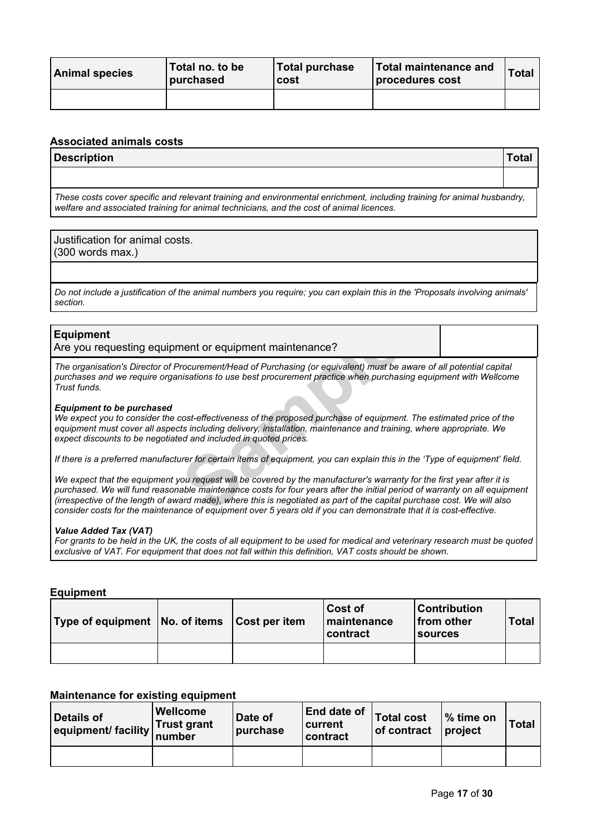| <b>Animal species</b> | Total no. to be<br>purchased | Total purchase<br>cost | Total maintenance and<br>procedures cost | <b>Total</b> |
|-----------------------|------------------------------|------------------------|------------------------------------------|--------------|
|                       |                              |                        |                                          |              |

#### **Associated animals costs**

| Description |  |
|-------------|--|
|             |  |
| $-1$<br>.   |  |

*These costs cover specific and relevant training and environmental enrichment, including training for animal husbandry, welfare and associated training for animal technicians, and the cost of animal licences.*

Justification for animal costs. (300 words max.)

Do not include a justification of the animal numbers you require; you can explain this in the 'Proposals involving animals' *section.*

#### **Equipment**

Are you requesting equipment or equipment maintenance?

The organisation's Director of Procurement/Head of Purchasing (or equivalent) must be aware of all potential capital *purchases and we require organisations to use best procurement practice when purchasing equipment with Wellcome Trust funds.*

#### *Equipment to be purchased*

We expect you to consider the cost-effectiveness of the proposed purchase of equipment. The estimated price of the *equipment must cover all aspects including delivery, installation, maintenance and training, where appropriate. We expect discounts to be negotiated and included in quoted prices.*

If there is a preferred manufacturer for certain items of equipment, you can explain this in the 'Type of equipment' field.

ment or equipment maintenance?<br>
Frocurement/Head of Purchasing (or equivalent) must be a<br>
Frocurement/Head of Purchasing (or equivalent) must be a<br>
scost-effectiveness of the proposed purchase of equipments<br>
including deli We expect that the equipment you request will be covered by the manufacturer's warranty for the first year after it is purchased. We will fund reasonable maintenance costs for four years after the initial period of warranty on all equipment (irrespective of the length of award made), where this is negotiated as part of the capital purchase cost. We will also consider costs for the maintenance of equipment over 5 years old if you can demonstrate that it is cost-effective.

#### *Value Added Tax (VAT)*

For grants to be held in the UK, the costs of all equipment to be used for medical and veterinary research must be quoted *exclusive of VAT. For equipment that does not fall within this definition, VAT costs should be shown.*

#### **Equipment**

| Type of equipment   No. of items   Cost per item |  | Cost of<br>maintenance<br>contract | ∣Contribution<br>from other<br><b>Sources</b> | Total |
|--------------------------------------------------|--|------------------------------------|-----------------------------------------------|-------|
|                                                  |  |                                    |                                               |       |

#### **Maintenance for existing equipment**

| Details of<br>equipment/ facility | Wellcome<br><b>Trust grant</b><br>number | Date of<br>purchase | End date of<br>current<br>contract | Total cost<br>$ $ of contract | % time on<br>$ $ project | <b>Total</b> |
|-----------------------------------|------------------------------------------|---------------------|------------------------------------|-------------------------------|--------------------------|--------------|
|                                   |                                          |                     |                                    |                               |                          |              |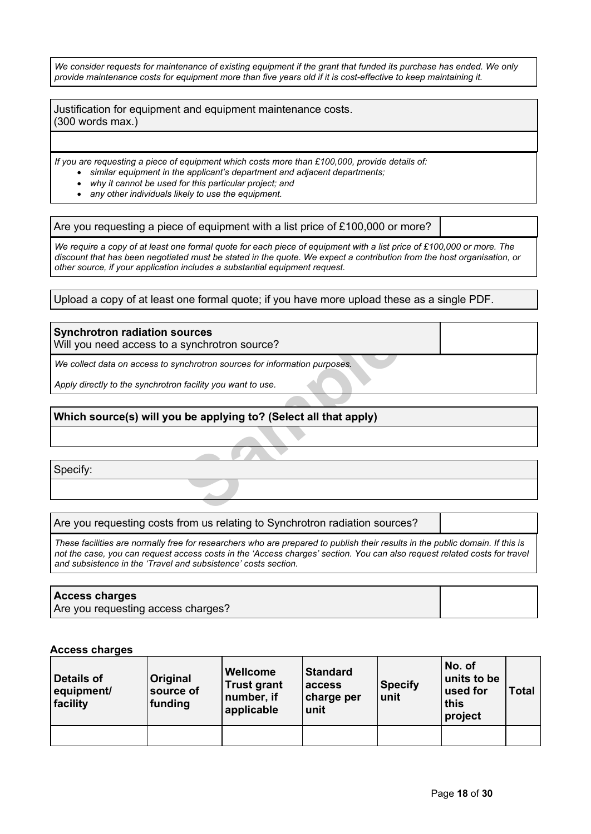We consider requests for maintenance of existing equipment if the grant that funded its purchase has ended. We only provide maintenance costs for equipment more than five years old if it is cost-effective to keep maintaining it.

Justification for equipment and equipment maintenance costs. (300 words max.)

*If you are requesting a piece of equipment which costs more than £100,000, provide details of:*

- *similar equipment in the applicant's department and adjacent departments;*
- *why it cannot be used for this particular project; and*
- *any other individuals likely to use the equipment.*

Are you requesting a piece of equipment with a list price of £100,000 or more?

We require a copy of at least one formal quote for each piece of equipment with a list price of £100,000 or more. The discount that has been negotiated must be stated in the quote. We expect a contribution from the host organisation, or *other source, if your application includes a substantial equipment request.*

Upload a copy of at least one formal quote; if you have more upload these as a single PDF.

**Synchrotron radiation sources** Will you need access to a synchrotron source?

*We collect data on access to synchrotron sources for information purposes.*

*Apply directly to the synchrotron facility you want to use.*

# **Synchrotron source?**<br>
Interaction sources for information purposes.<br>
Interactive you want to use.<br>
Interaction of Select all that apply)<br> **Select all that apply) Which source(s) will you be applying to? (Select all that apply)**

Specify:

Are you requesting costs from us relating to Synchrotron radiation sources?

These facilities are normally free for researchers who are prepared to publish their results in the public domain. If this is not the case, you can request access costs in the 'Access charges' section. You can also request related costs for travel *and subsistence in the 'Travel and subsistence' costs section.*

#### **Access charges**

Are you requesting access charges?

#### **Access charges**

| Details of<br>equipment/<br>facility | Original<br>source of<br>funding | Wellcome<br><b>Trust grant</b><br>number, if<br>applicable | <b>Standard</b><br>access<br>∣charge per<br>unit | <b>Specify</b><br>unit | No. of<br>units to be<br>used for<br>this<br>project | <b>Total</b> |
|--------------------------------------|----------------------------------|------------------------------------------------------------|--------------------------------------------------|------------------------|------------------------------------------------------|--------------|
|                                      |                                  |                                                            |                                                  |                        |                                                      |              |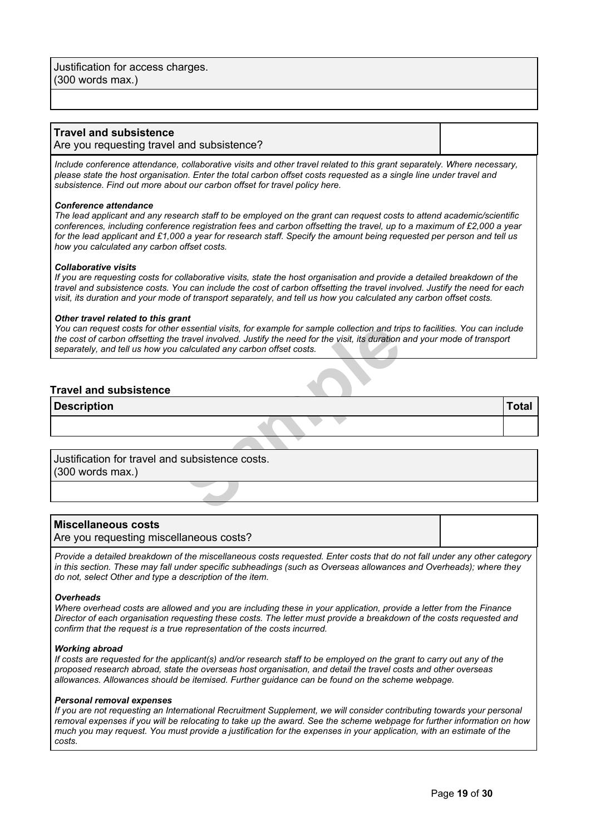*subsistence. Find out more about our carbon offset for travel policy [here.](https://wellcome.org/funding/carbon-offset-policy-travel)*

| <b>Travel and subsistence</b><br>Are you requesting travel and subsistence?                                                                                                                                                                    |  |
|------------------------------------------------------------------------------------------------------------------------------------------------------------------------------------------------------------------------------------------------|--|
| Include conference attendance, collaborative visits and other travel related to this grant separately. Where necessary,<br>please state the host organisation. Enter the total carbon offset costs requested as a single line under travel and |  |

*Conference attendance*

The lead applicant and any research staff to be employed on the grant can request costs to attend academic/scientific conferences, including conference registration fees and carbon offsetting the travel, up to a maximum of £2,000 a year for the lead applicant and £1,000 a year for research staff. Specify the amount being requested per person and tell us *how you calculated any carbon offset costs.*

#### *Collaborative visits*

If you are requesting costs for collaborative visits, state the host organisation and provide a detailed breakdown of the travel and subsistence costs. You can include the cost of carbon offsetting the travel involved. Justify the need for each visit, its duration and your mode of transport separately, and tell us how you calculated any carbon offset costs.

#### *Other travel related to this grant*

essential visits, for example for sample collection and trigitative involved. Justify the need for the visit, its duration calculated any carbon offset costs.<br>Calculated any carbon offset costs. You can request costs for other essential visits, for example for sample collection and trips to facilities. You can include the cost of carbon offsetting the travel involved. Justify the need for the visit, its duration and your mode of transport *separately, and tell us how you calculated any carbon offset costs.*

#### **Travel and subsistence**

**Description Total**

Justification for travel and subsistence costs. (300 words max.)

#### **Miscellaneous costs**

Are you requesting miscellaneous costs?

Provide a detailed breakdown of the miscellaneous costs requested. Enter costs that do not fall under any other category in this section. These may fall under specific subheadings (such as Overseas allowances and Overheads); where they *do not, select Other and type a description of the item.*

#### *Overheads*

Where overhead costs are allowed and you are including these in your application, provide a letter from the Finance Director of each organisation requesting these costs. The letter must provide a breakdown of the costs requested and *confirm that the request is a true representation of the costs incurred.*

#### *Working abroad*

If costs are requested for the applicant(s) and/or research staff to be employed on the grant to carry out any of the *proposed research abroad, state the overseas host organisation, and detail the travel costs and other overseas allowances. Allowances should be itemised. Further guidance can be found on the scheme webpage.*

#### *Personal removal expenses*

If you are not requesting an International Recruitment Supplement, we will consider contributing towards your personal removal expenses if you will be relocating to take up the award. See the scheme webpage for further information on how much you may request. You must provide a justification for the expenses in your application, with an estimate of the *costs.*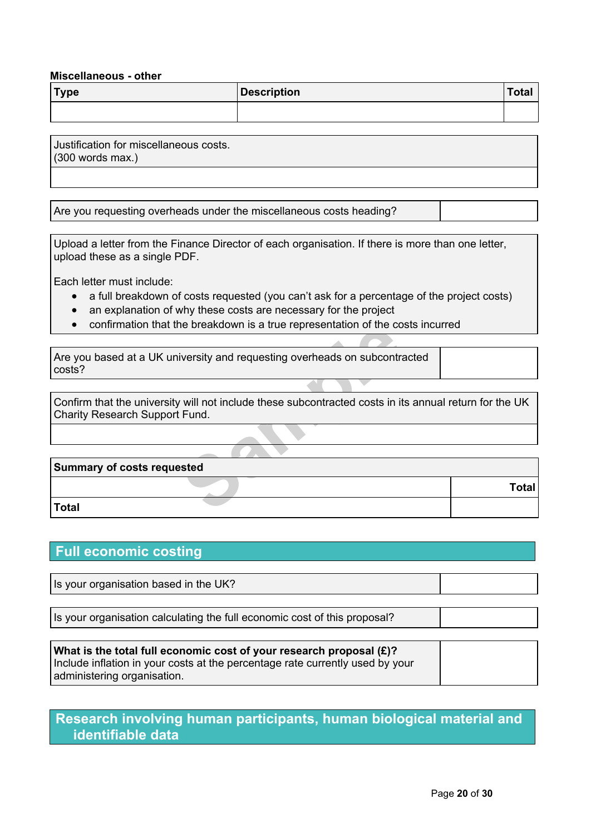#### **Miscellaneous - other**

| <b>Type</b> | <b>Description</b> | Total |
|-------------|--------------------|-------|
|             |                    |       |

Justification for miscellaneous costs. (300 words max.)

Are you requesting overheads under the miscellaneous costs heading?

Upload a letter from the Finance Director of each organisation. If there is more than one letter, upload these as a single PDF.

Each letter must include:

- a full breakdown of costs requested (you can't ask for a percentage of the project costs)
- an explanation of why these costs are necessary for the project
- confirmation that the breakdown is a true representation of the costs incurred

| COMMITMORATION IN RESERVATION IN A REPORT OF THE COSTS INCOMEDY                                                                          |       |
|------------------------------------------------------------------------------------------------------------------------------------------|-------|
|                                                                                                                                          |       |
| Are you based at a UK university and requesting overheads on subcontracted<br>costs?                                                     |       |
|                                                                                                                                          |       |
| Confirm that the university will not include these subcontracted costs in its annual return for the UK<br>Charity Research Support Fund. |       |
|                                                                                                                                          |       |
|                                                                                                                                          |       |
| <b>Summary of costs requested</b>                                                                                                        |       |
|                                                                                                                                          | Total |
| <b>Total</b>                                                                                                                             |       |

# **Full economic costing**

| Is your organisation based in the UK? |
|---------------------------------------|
|---------------------------------------|

Is your organisation calculating the full economic cost of this proposal?

| What is the total full economic cost of your research proposal $(E)?$         |  |
|-------------------------------------------------------------------------------|--|
| Include inflation in your costs at the percentage rate currently used by your |  |
| administering organisation.                                                   |  |

**Research involving human participants, human biological material and identifiable data**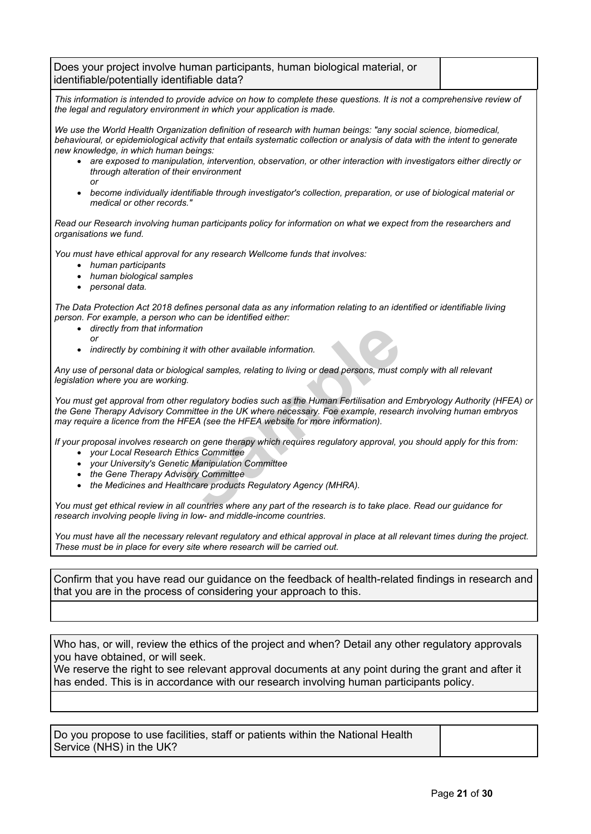Does your project involve human participants, human biological material, or identifiable/potentially identifiable data?

This information is intended to provide advice on how to complete these questions. It is not a comprehensive review of *the legal and regulatory environment in which your application is made.*

*We use the World Health Organization definition of research with human beings: "any social science, biomedical,* behavioural, or epidemiological activity that entails systematic collection or analysis of data with the intent to generate *new knowledge, in which human beings:*

- *are exposed to manipulation, intervention, observation, or other interaction with investigators either directly or through alteration of their environment or*
- *become individually identifiable through investigator's collection, preparation, or use of biological material or medical or other records."*

Read our Research involving human [participants](https://wellcome.org/grant-funding/guidance/research-involving-human-participants-policy) policy for information on what we expect from the researchers and *organisations we fund.*

*You must have ethical approval for any research Wellcome funds that involves:*

- *human participants*
- *human biological samples*
- *personal data.*

The Data Protection Act 2018 defines personal data as any information relating to an identified or identifiable living *person. For example, a person who can be identified either:*

- *directly from that information*
	- *or*
- *indirectly by combining it with other available information.*

Any use of personal data or biological samples, relating to living or dead persons, must comply with all relevant *legislation where you are working.*

[m](http://www.hfea.gov.uk/)ation<br>
it with other available information.<br>
logical samples, relating to living or dead persons, must c<br>
19.<br>
er regulatory bodies such as the Human Fertilisation and<br>
mmittee in the UK where necessary. Foe example, rese You must get approval from other regulatory bodies such as the Human Fertilisation and Embryology Authority (HFEA) or *the Gene Therapy Advisory Committee in the UK where necessary. Foe example, research involving human embryos may require a licence from the HFEA (see the HFEA website for more information).*

If your proposal involves research on gene therapy which requires requlatory approval, you should apply for this from:

- *your Local Research Ethics Committee*
- *your University's Genetic Manipulation Committee*
- *the Gene Therapy Advisory Committee*
- *the Medicines and Healthcare products Regulatory Agency (MHRA).*

You must get ethical review in all countries where any part of the research is to take place. Read our quidance for *research involving people living in low- and [middle-income](https://wellcome.org/grant-funding/guidance/research-involving-people-low-and-middle-income-countries) countries.*

You must have all the necessary relevant regulatory and ethical approval in place at all relevant times during the project. *These must be in place for every site where research will be carried out.*

Confirm that you have read our guidance on the feedback of [health-related](https://wellcome.org/grant-funding/guidance/research-involving-human-participants-policy) findings in research and that you are in the process of considering your approach to this.

Who has, or will, review the ethics of the project and when? Detail any other regulatory approvals you have obtained, or will seek.

We reserve the right to see relevant approval documents at any point during the grant and after it has ended. This is in accordance with our research involving human participants policy.

Do you propose to use facilities, staff or patients within the National Health Service (NHS) in the UK?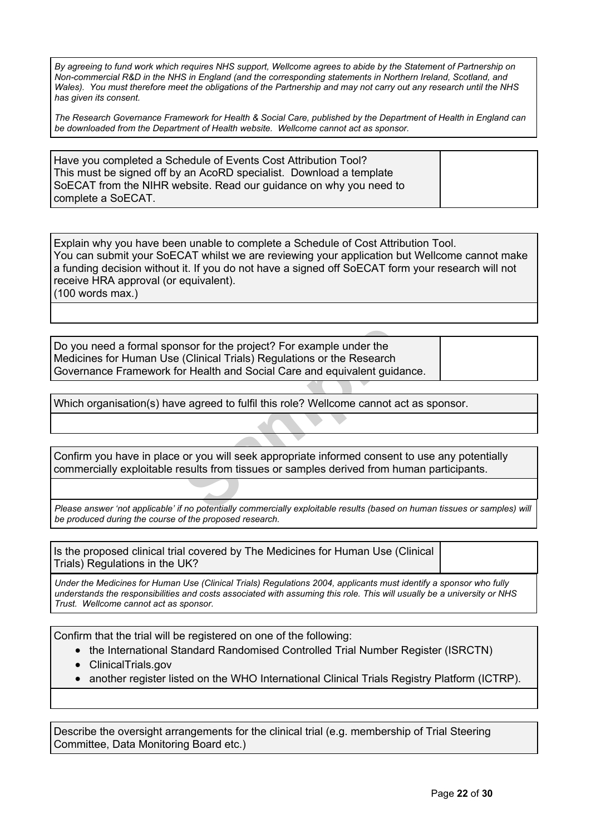By agreeing to fund work which reguires NHS support. Wellcome agrees to abide by the Statement of Partnership on *Non-commercial R&D in the NHS in England (and the corresponding statements in Northern Ireland, Scotland, and* Wales). You must therefore meet the obligations of the Partnership and may not carry out any research until the NHS *has given its consent.*

The Research Governance Framework for Health & Social Care, published by the Department of Health in England can *be downloaded from the [Department](http://www.dh.gov.uk/health/category/research) of Health website. Wellcome cannot act as sponsor.*

Have you completed a Schedule of Events Cost Attribution Tool? This must be signed off by an AcoRD specialist. Download a template SoECAT from the NIHR [website.](https://www.nihr.ac.uk/researchers/collaborations-services-and-support-for-your-research/run-your-study/excess-treatment-costs.htm) Read our [guidance](https://wellcome.org/grant-funding/guidance/clinical-research-using-nhs-resources) on why you need to complete a SoECAT.

Explain why you have been unable to complete a Schedule of Cost Attribution Tool. You can submit your SoECAT whilst we are reviewing your application but Wellcome cannot make a funding decision without it. If you do not have a signed off SoECAT form your research will not receive HRA approval (or equivalent). (100 words max.)

nsor for the project? For example under the<br>
(Clinical Trials) Regulations or the Research<br>
or Health and Social Care and equivalent guida<br> **Sample 18 and 18 and 18 and 18 and 18 and 18 and 18 and 18 and 18 and 18 and 18 a** Do you need a formal sponsor for the project? For example under the Medicines for Human Use (Clinical Trials) Regulations or the Research Governance Framework for Health and Social Care and equivalent guidance.

Which organisation(s) have agreed to fulfil this role? Wellcome cannot act as sponsor.

Confirm you have in place or you will seek appropriate informed consent to use any potentially commercially exploitable results from tissues or samples derived from human participants.

Please answer 'not applicable' if no potentially commercially exploitable results (based on human tissues or samples) will *be produced during the course of the proposed research.*

Is the proposed clinical trial covered by The Medicines for Human Use (Clinical Trials) Regulations in the UK?

Under the Medicines for Human Use (Clinical Trials) Regulations 2004, applicants must identify a sponsor who fully understands the responsibilities and costs associated with assuming this role. This will usually be a university or NHS *Trust. Wellcome cannot act as sponsor.*

Confirm that the trial will be registered on one of the following:

- the International Standard Randomised Controlled Trial Number Register (ISRCTN)
- ClinicalTrials.gov
- another register listed on the WHO International Clinical Trials Registry Platform (ICTRP).

Describe the oversight arrangements for the clinical trial (e.g. membership of Trial Steering Committee, Data Monitoring Board etc.)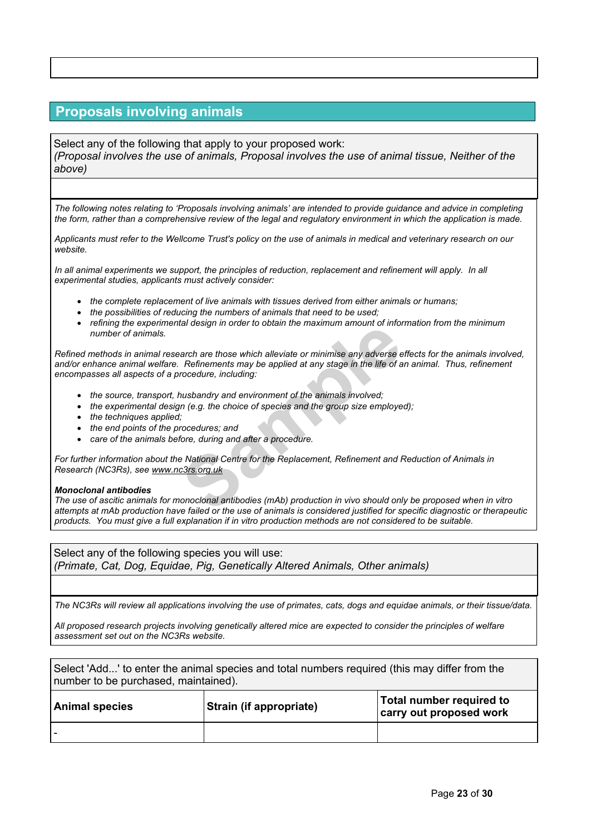# **Proposals involving animals**

Select any of the following that apply to your proposed work: *(Proposal involves the use of animals, Proposal involves the use of animal tissue, Neither of the above)*

The following notes relating to 'Proposals involving animals' are intended to provide quidance and advice in completing the form, rather than a comprehensive review of the legal and regulatory environment in which the application is made.

Applicants must refer to the Wellcome Trust's policy on the use of animals in medical and [veterinary](http://www.wellcome.org/funding/managing-grant/use-animals-medical-and-veterinary-research) research on our *website.*

In all animal experiments we support, the principles of reduction, replacement and refinement will apply. In all *experimental studies, applicants must actively consider:*

- *the complete replacement of live animals with tissues derived from either animals or humans;*
- *the possibilities of reducing the numbers of animals that need to be used;*
- *refining the experimental design in order to obtain the maximum amount of information from the minimum number of animals.*

rach are those which alleviate or minimise any adverse e<br>**Refinements may be applied at any stage in the life of a**<br>rocedure, including:<br>husbandry and environment of the animals involved;<br>in (e.g. the choice of species and Refined methods in animal research are those which alleviate or minimise any adverse effects for the animals involved, and/or enhance animal welfare. Refinements may be applied at any stage in the life of an animal. Thus, refinement *encompasses all aspects of a procedure, including:*

- *the source, transport, husbandry and environment of the animals involved;*
- *the experimental design (e.g. the choice of species and the group size employed);*
- *the techniques applied;*
- *the end points of the procedures; and*
- *care of the animals before, during and after a procedure.*

*For further information about the National Centre for the Replacement, Refinement and Reduction of Animals in Research (NC3Rs), see [www.nc3rs.org.uk](http://www.nc3rs.org.uk/)*

#### *Monoclonal antibodies*

-

The use of ascitic animals for monoclonal antibodies (mAb) production in vivo should only be proposed when in vitro attempts at mAb production have failed or the use of animals is considered justified for specific diagnostic or therapeutic products. You must give a full explanation if in vitro production methods are not considered to be suitable.

Select any of the following species you will use: *(Primate, Cat, Dog, Equidae, Pig, Genetically Altered Animals, Other animals)*

The NC3Rs will review all applications involving the use of primates, cats, dogs and equidae animals, or their tissue/data.

All proposed research projects involving genetically altered mice are expected to consider the principles of welfare *assessment set out on the NC3Rs [website](https://www.nc3rs.org.uk/generation-and-breeding-genetically-altered-mice).*

Select 'Add...' to enter the animal species and total numbers required (this may differ from the number to be purchased, maintained). **Animal species Strain (if appropriate) Total number required to carry out proposed work**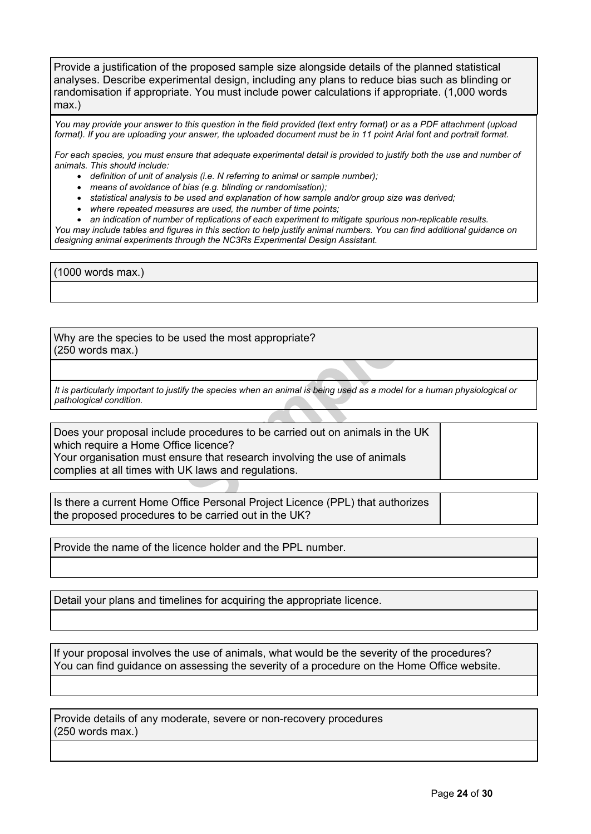Provide a justification of the proposed sample size alongside details of the planned statistical analyses. Describe experimental design, including any plans to reduce bias such as blinding or randomisation if appropriate. You must include power calculations if appropriate. (1,000 words max.)

You may provide your answer to this question in the field provided (text entry format) or as a PDF attachment (upload format). If you are uploading your answer, the uploaded document must be in 11 point Arial font and portrait format.

For each species, you must ensure that adequate experimental detail is provided to justify both the use and number of *animals. This should include:*

- *definition of unit of analysis (i.e. N referring to animal or sample number);*
- *means of avoidance of bias (e.g. blinding or randomisation);*
- *statistical analysis to be used and explanation of how sample and/or group size was derived;*
- *where repeated measures are used, the number of time points;*
- *an indication of number of replications of each experiment to mitigate spurious non-replicable results.*

You may include tables and figures in this section to help justify animal numbers. You can find additional guidance on *designing animal experiments through the NC3Rs [Experimental](https://www.nc3rs.org.uk/experimental-design-assistant-eda) Design Assistant.*

(1000 words max.)

Why are the species to be used the most appropriate? (250 words max.)

It is particularly important to justify the species when an animal is being used as a model for a human physiological or *pathological condition.*

Figures 1997<br>
Stript the species when an animal is being used as a model<br>
Stript the species when an animal is being used as a model<br>
Stript the procedures to be carried out on animals in th<br>
Stript that research involving Does your proposal include procedures to be carried out on animals in the UK which require a Home Office licence? Your organisation must ensure that research involving the use of animals complies at all times with UK laws and regulations.

Is there a current Home Office Personal Project Licence (PPL) that authorizes the proposed procedures to be carried out in the UK?

Provide the name of the licence holder and the PPL number.

Detail your plans and timelines for acquiring the appropriate licence.

If your proposal involves the use of animals, what would be the severity of the procedures? You can find guidance on assessing the severity of a procedure on the Home Office [website.](http://www.homeoffice.gov.uk/science-research/animal-research/)

Provide details of any moderate, severe or non-recovery procedures (250 words max.)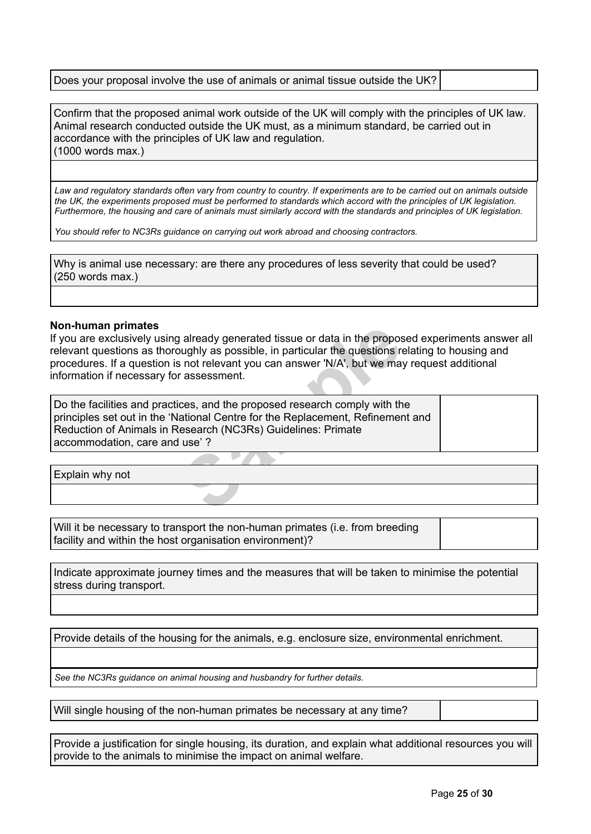Does your proposal involve the use of animals or animal tissue outside the UK?

Confirm that the proposed animal work outside of the UK will comply with the principles of UK law. Animal research conducted outside the UK must, as a minimum standard, be carried out in accordance with the principles of UK law and regulation. (1000 words max.)

Law and requlatory standards often vary from country to country. If experiments are to be carried out on animals outside the UK, the experiments proposed must be performed to standards which accord with the principles of UK legislation. Furthermore, the housing and care of animals must similarly accord with the standards and principles of UK legislation.

*You should refer to NC3Rs [guidance](https://www.nc3rs.org.uk/news/choosing-contractors-animal-research) on carrying out work abroad and choosing contractors.*

Why is animal use necessary: are there any procedures of less severity that could be used? (250 words max.)

#### **Non-human primates**

If you are exclusively using already generated tissue or data in the proposed experiments answer all relevant questions as thoroughly as possible, in particular the questions relating to housing and procedures. If a question is not relevant you can answer 'N/A', but we may request additional information if necessary for assessment.

ready generated tissue or data in the [p](http://www.nc3rs.org.uk/non-human-primate-accommodation-care-and-use)roposition and supply as possible, in particular the questions reserves to the extraction of the subsement.<br>
For a subsement of the proposed research comply with the ational Centre fo Do the facilities and practices, and the proposed research comply with the principles set out in the 'National Centre for the Replacement, Refinement and Reduction of Animals in Research (NC3Rs) Guidelines: Primate [accommodation,](http://www.nc3rs.org.uk/non-human-primate-accommodation-care-and-use) care and use' ?

Explain why not

Will it be necessary to transport the non-human primates (i.e. from breeding facility and within the host organisation environment)?

Indicate approximate journey times and the measures that will be taken to minimise the potential stress during transport.

Provide details of the housing for the animals, e.g. enclosure size, environmental enrichment.

*See the NC3Rs [guidance](http://www.nc3rs.org.uk/3rs-resources/housing-and-husbandry) on animal housing and husbandry for further details.*

Will single housing of the non-human primates be necessary at any time?

Provide a justification for single housing, its duration, and explain what additional resources you will provide to the animals to minimise the impact on animal welfare.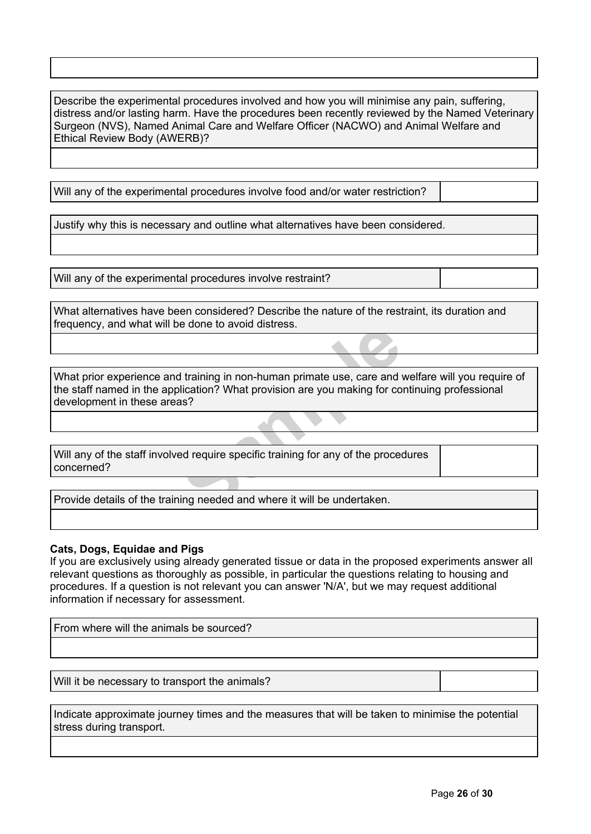Describe the experimental procedures involved and how you will minimise any pain, suffering, distress and/or lasting harm. Have the procedures been recently reviewed by the Named Veterinary Surgeon (NVS), Named Animal Care and Welfare Officer (NACWO) and Animal Welfare and Ethical Review Body (AWERB)?

Will any of the experimental procedures involve food and/or water restriction?

Justify why this is necessary and outline what alternatives have been considered.

Will any of the experimental procedures involve restraint?

What alternatives have been considered? Describe the nature of the restraint, its duration and frequency, and what will be done to avoid distress.

**Solution** in non-human primate use, care and virtualization? What provision are you making for cotas?<br> **Sample 1998**<br> **Sample 1998**<br> **Sample 1999**<br> **Sample 1999**<br> **Sample 1999**<br> **Sample 1999**<br> **Sample 1999**<br> **Sample 1999** What prior experience and training in non-human primate use, care and welfare will you require of the staff named in the application? What provision are you making for continuing professional development in these areas?

Will any of the staff involved require specific training for any of the procedures concerned?

Provide details of the training needed and where it will be undertaken.

#### **Cats, Dogs, Equidae and Pigs**

If you are exclusively using already generated tissue or data in the proposed experiments answer all relevant questions as thoroughly as possible, in particular the questions relating to housing and procedures. If a question is not relevant you can answer 'N/A', but we may request additional information if necessary for assessment.

From where will the animals be sourced?

Will it be necessary to transport the animals?

Indicate approximate journey times and the measures that will be taken to minimise the potential stress during transport.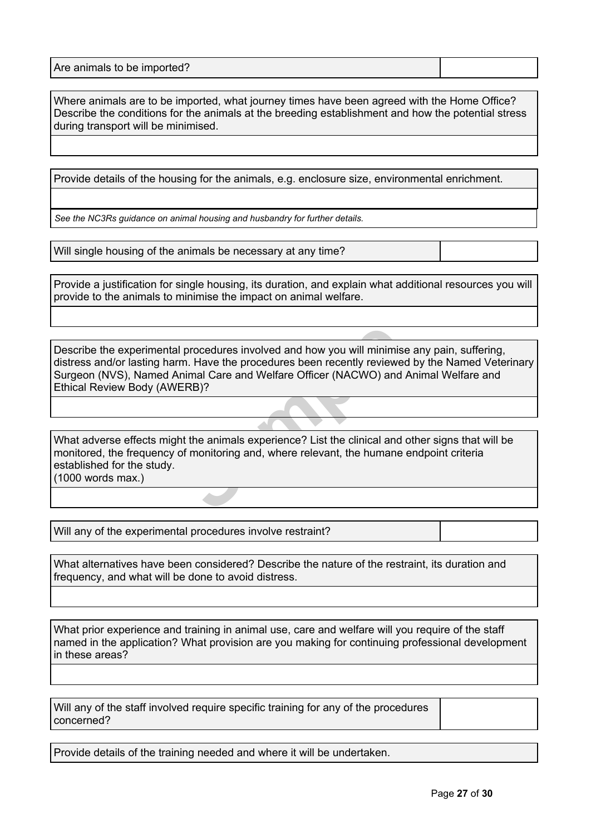| Are animals to be imported? |  |
|-----------------------------|--|
|-----------------------------|--|

Where animals are to be imported, what journey times have been agreed with the Home Office? Describe the conditions for the animals at the breeding establishment and how the potential stress during transport will be minimised.

Provide details of the housing for the animals, e.g. enclosure size, environmental enrichment.

*See the NC3Rs [guidance](https://www.nc3rs.org.uk/3rs-resources/housing-and-husbandry) on animal housing and husbandry for further details.*

Will single housing of the animals be necessary at any time?

Provide a justification for single housing, its duration, and explain what additional resources you will provide to the animals to minimise the impact on animal welfare.

I procedures involved and how you will minimis<br>
m. Have the procedures been recently reviewe<br>
nimal Care and Welfare Officer (NACWO) and<br>
ERB)?<br>
at the animals experience? List the clinical and<br>
of monitoring and, where re Describe the experimental procedures involved and how you will minimise any pain, suffering, distress and/or lasting harm. Have the procedures been recently reviewed by the Named Veterinary Surgeon (NVS), Named Animal Care and Welfare Officer (NACWO) and Animal Welfare and Ethical Review Body (AWERB)?

What adverse effects might the animals experience? List the clinical and other signs that will be monitored, the frequency of monitoring and, where relevant, the humane endpoint criteria established for the study. (1000 words max.)

Will any of the experimental procedures involve restraint?

What alternatives have been considered? Describe the nature of the restraint, its duration and frequency, and what will be done to avoid distress.

What prior experience and training in animal use, care and welfare will you require of the staff named in the application? What provision are you making for continuing professional development in these areas?

Will any of the staff involved require specific training for any of the procedures concerned?

Provide details of the training needed and where it will be undertaken.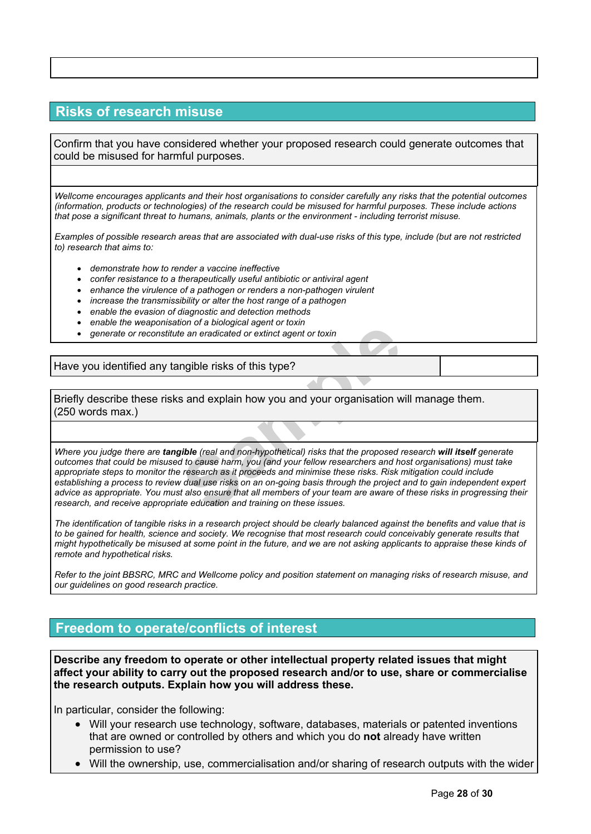# **Risks of research misuse**

Confirm that you have considered whether your proposed research could generate outcomes that could be misused for harmful purposes.

Wellcome encourages applicants and their host organisations to consider carefully any risks that the potential outcomes (information, products or technologies) of the research could be misused for harmful purposes. These include actions *that pose a significant threat to humans, animals, plants or the environment - including terrorist misuse.*

Examples of possible research areas that are associated with dual-use risks of this type, include (but are not restricted *to) research that aims to:*

- *demonstrate how to render a vaccine ineffective*
- *confer resistance to a therapeutically useful antibiotic or antiviral agent*
- *enhance the virulence of a pathogen or renders a non-pathogen virulent*
- *increase the transmissibility or alter the host range of a pathogen*
- *enable the evasion of diagnostic and detection methods*
- *enable the weaponisation of a biological agent or toxin*
- *generate or reconstitute an eradicated or extinct agent or toxin*

Have you identified any tangible risks of this type?

Briefly describe these risks and explain how you and your organisation will manage them. (250 words max.)

Frame a biological agent of loan<br>
Frame an eradicated or extinct agent or toxin<br> **Sample Example 1888 of this type?**<br>
Sample (real and non-hypothetical) risks that the proposed risk<br>
Sample (real and non-hypothetical) risk Where you judge there are tangible (real and non-hypothetical) risks that the proposed research will itself generate outcomes that could be misused to cause harm, you (and your fellow researchers and host organisations) must take appropriate steps to monitor the research as it proceeds and minimise these risks. Risk mitigation could include establishing a process to review dual use risks on an on-going basis through the project and to gain independent expert advice as appropriate. You must also ensure that all members of your team are aware of these risks in progressing their *research, and receive appropriate education and training on these issues.*

The identification of tangible risks in a research project should be clearly balanced against the benefits and value that is to be gained for health, science and society. We recognise that most research could conceivably generate results that might hypothetically be misused at some point in the future, and we are not asking applicants to appraise these kinds of *remote and hypothetical risks.*

Refer to the joint BBSRC, MRC and Wellcome policy and position statement on [managing](https://wellcome.org/funding/managing-grant/managing-risks-research-misuse) risks of research misuse, and *our guidelines on good [research](https://wellcome.org/funding/managing-grant/policy-good-research-practice) practice.*

# **Freedom to operate/conflicts of interest**

**Describe any freedom to operate or other intellectual property related issues that might affect your ability to carry out the proposed research and/or to use, share or commercialise the research outputs. Explain how you will address these.**

In particular, consider the following:

- Will your research use technology, software, databases, materials or patented inventions that are owned or controlled by others and which you do **not** already have written permission to use?
- Will the ownership, use, commercialisation and/or sharing of research outputs with the wider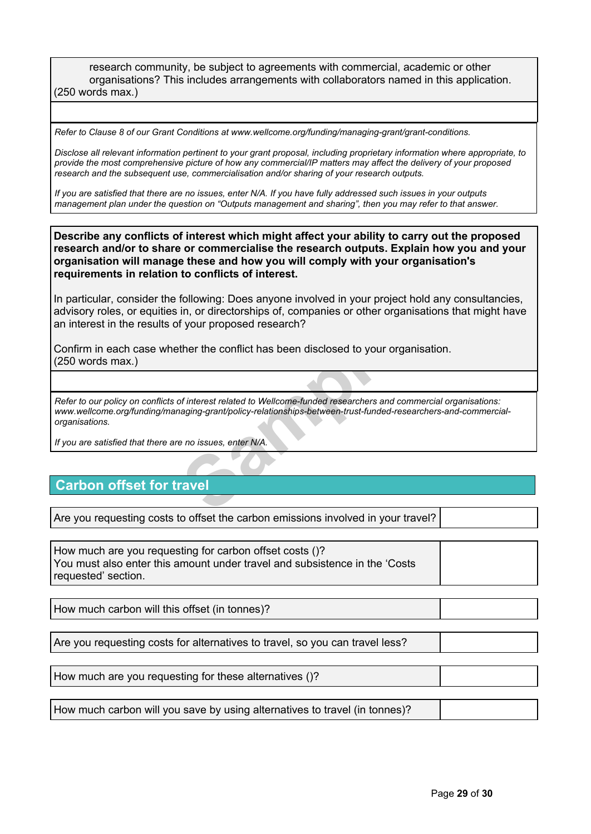research community, be subject to agreements with commercial, academic or other organisations? This includes arrangements with collaborators named in this application. (250 words max.)

*Refer to Clause 8 of our Grant Conditions at [www.wellcome.org/funding/managing-grant/grant-conditions.](http://www.wellcome.ac.uk/funding/managing-grant/grant-conditions)*

Disclose all relevant information pertinent to your grant proposal, including proprietary information where appropriate, to provide the most comprehensive picture of how any commercial/IP matters may affect the delivery of your proposed *research and the subsequent use, commercialisation and/or sharing of your research outputs.*

If you are satisfied that there are no issues, enter N/A. If you have fully addressed such issues in your outputs management plan under the question on "Outputs management and sharing", then you may refer to that answer.

**Describe any conflicts of interest which might affect your ability to carry out the proposed research and/or to share or commercialise the research outputs. Explain how you and your organisation will manage these and how you will comply with your organisation's requirements in relation to conflicts of interest.**

In particular, consider the following: Does anyone involved in your project hold any consultancies, advisory roles, or equities in, or directorships of, companies or other organisations that might have an interest in the results of your proposed research?

Confirm in each case whether the conflict has been disclosed to your organisation. (250 words max.)

If your proposed research?<br>
ther the conflict has been disclosed to your org<br>
of interest related to Wellcome-funded researchers and consigning-grant/policy-relationships-between-trust-funded-res<br> **Example 18 and 18 and 18** *Refer to our policy on conflicts of interest related to Wellcome-funded researchers and commercial organisations: [www.wellcome.org/funding/managing-grant/policy-relationships-between-trust-funded-researchers-and-commercial](http://www.wellcome.ac.uk/funding/managing-grant/policy-relationships-between-trust-funded-researchers-and-commercial-organisations)[organisations](http://www.wellcome.ac.uk/funding/managing-grant/policy-relationships-between-trust-funded-researchers-and-commercial-organisations).*

*If you are satisfied that there are no issues, enter N/A.*

# **Carbon offset for travel**

Are you requesting costs to offset the carbon emissions involved in your travel?

How much are you requesting for carbon offset costs ()? You must also enter this amount under travel and subsistence in the 'Costs requested' section.

How much carbon will this offset (in tonnes)?

Are you requesting costs for alternatives to travel, so you can travel less?

How much are you requesting for these alternatives ()?

How much carbon will you save by using alternatives to travel (in tonnes)?